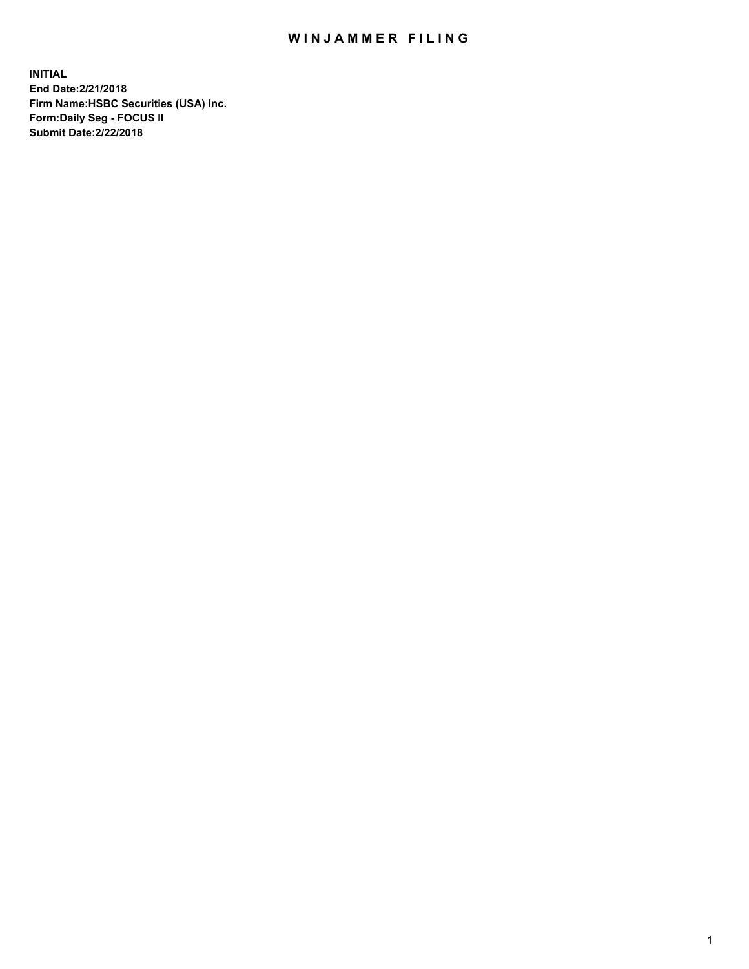## WIN JAMMER FILING

**INITIAL End Date:2/21/2018 Firm Name:HSBC Securities (USA) Inc. Form:Daily Seg - FOCUS II Submit Date:2/22/2018**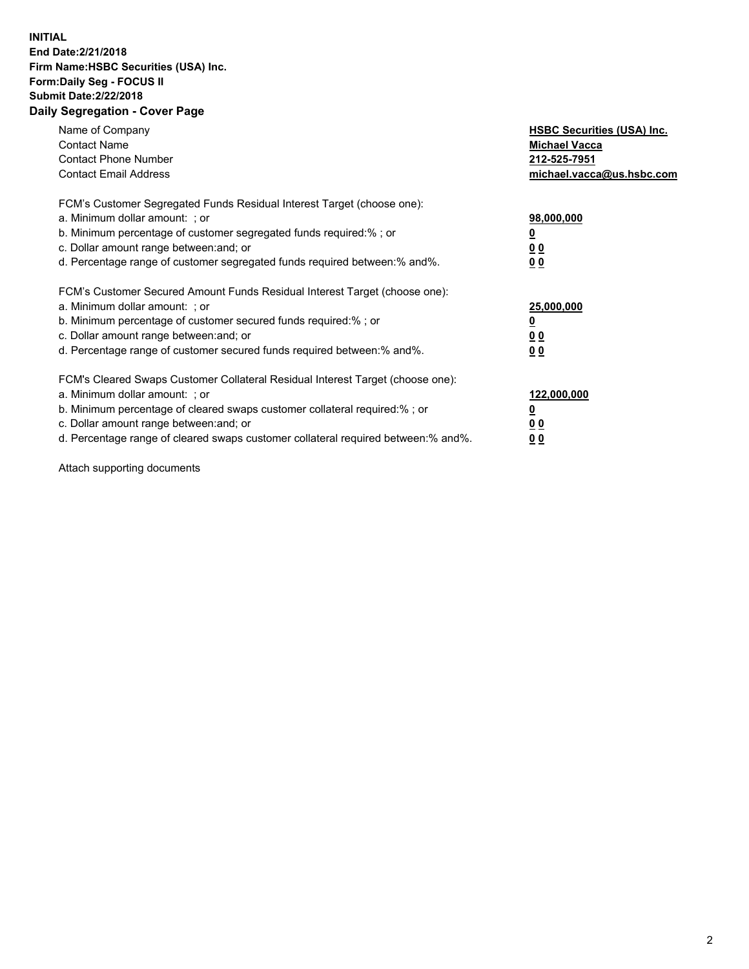## **INITIAL End Date:2/21/2018 Firm Name:HSBC Securities (USA) Inc. Form:Daily Seg - FOCUS II Submit Date:2/22/2018 Daily Segregation - Cover Page**

| Name of Company<br><b>Contact Name</b><br><b>Contact Phone Number</b><br><b>Contact Email Address</b>                                                                                                                                                                                                                         | <b>HSBC Securities (USA) Inc.</b><br><b>Michael Vacca</b><br>212-525-7951<br>michael.vacca@us.hsbc.com |
|-------------------------------------------------------------------------------------------------------------------------------------------------------------------------------------------------------------------------------------------------------------------------------------------------------------------------------|--------------------------------------------------------------------------------------------------------|
| FCM's Customer Segregated Funds Residual Interest Target (choose one):<br>a. Minimum dollar amount: ; or<br>b. Minimum percentage of customer segregated funds required:%; or<br>c. Dollar amount range between: and; or<br>d. Percentage range of customer segregated funds required between: % and %.                       | 98,000,000<br><u>0</u><br><u>00</u><br><u>00</u>                                                       |
| FCM's Customer Secured Amount Funds Residual Interest Target (choose one):<br>a. Minimum dollar amount: ; or<br>b. Minimum percentage of customer secured funds required:%; or<br>c. Dollar amount range between: and; or<br>d. Percentage range of customer secured funds required between: % and %.                         | 25,000,000<br><u>0</u><br><u>00</u><br>00                                                              |
| FCM's Cleared Swaps Customer Collateral Residual Interest Target (choose one):<br>a. Minimum dollar amount: ; or<br>b. Minimum percentage of cleared swaps customer collateral required:%; or<br>c. Dollar amount range between: and; or<br>d. Percentage range of cleared swaps customer collateral required between:% and%. | 122,000,000<br><u>0</u><br><u>00</u><br><u>00</u>                                                      |

Attach supporting documents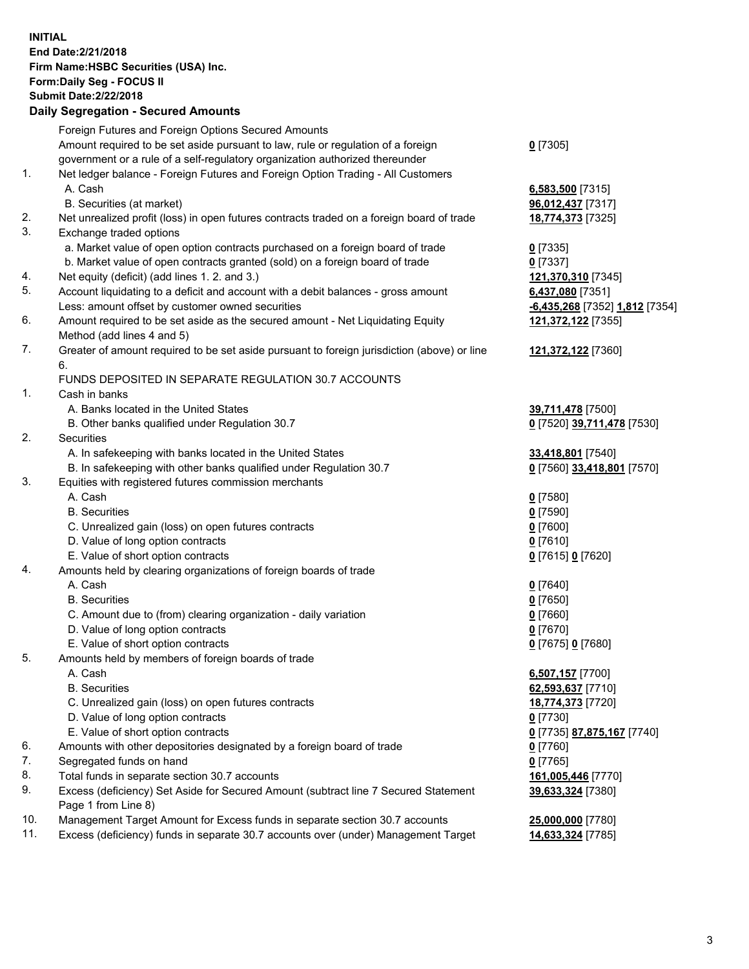**INITIAL End Date:2/21/2018 Firm Name:HSBC Securities (USA) Inc. Form:Daily Seg - FOCUS II Submit Date:2/22/2018 Daily Segregation - Secured Amounts**

|     | Daily Jegregation - Jeculed Aniounts                                                        |                                |
|-----|---------------------------------------------------------------------------------------------|--------------------------------|
|     | Foreign Futures and Foreign Options Secured Amounts                                         |                                |
|     | Amount required to be set aside pursuant to law, rule or regulation of a foreign            | $0$ [7305]                     |
|     | government or a rule of a self-regulatory organization authorized thereunder                |                                |
| 1.  | Net ledger balance - Foreign Futures and Foreign Option Trading - All Customers             |                                |
|     | A. Cash                                                                                     | 6,583,500 [7315]               |
|     | B. Securities (at market)                                                                   | 96,012,437 [7317]              |
| 2.  | Net unrealized profit (loss) in open futures contracts traded on a foreign board of trade   | 18,774,373 [7325]              |
| 3.  | Exchange traded options                                                                     |                                |
|     | a. Market value of open option contracts purchased on a foreign board of trade              | $0$ [7335]                     |
|     | b. Market value of open contracts granted (sold) on a foreign board of trade                | $0$ [7337]                     |
| 4.  | Net equity (deficit) (add lines 1.2. and 3.)                                                | 121,370,310 [7345]             |
| 5.  | Account liquidating to a deficit and account with a debit balances - gross amount           | 6,437,080 [7351]               |
|     | Less: amount offset by customer owned securities                                            | -6,435,268 [7352] 1,812 [7354] |
| 6.  | Amount required to be set aside as the secured amount - Net Liquidating Equity              | 121,372,122 [7355]             |
|     | Method (add lines 4 and 5)                                                                  |                                |
| 7.  | Greater of amount required to be set aside pursuant to foreign jurisdiction (above) or line | 121,372,122 [7360]             |
|     | 6.                                                                                          |                                |
|     | FUNDS DEPOSITED IN SEPARATE REGULATION 30.7 ACCOUNTS                                        |                                |
| 1.  | Cash in banks                                                                               |                                |
|     | A. Banks located in the United States                                                       | 39,711,478 [7500]              |
|     | B. Other banks qualified under Regulation 30.7                                              | 0 [7520] 39,711,478 [7530]     |
| 2.  | Securities                                                                                  |                                |
|     | A. In safekeeping with banks located in the United States                                   | 33,418,801 [7540]              |
|     | B. In safekeeping with other banks qualified under Regulation 30.7                          | 0 [7560] 33,418,801 [7570]     |
| 3.  | Equities with registered futures commission merchants                                       |                                |
|     | A. Cash                                                                                     | $0$ [7580]                     |
|     | <b>B.</b> Securities                                                                        | $0$ [7590]                     |
|     | C. Unrealized gain (loss) on open futures contracts                                         | $0$ [7600]                     |
|     | D. Value of long option contracts                                                           | $0$ [7610]                     |
|     | E. Value of short option contracts                                                          | 0 [7615] 0 [7620]              |
| 4.  | Amounts held by clearing organizations of foreign boards of trade                           |                                |
|     | A. Cash                                                                                     | $0$ [7640]                     |
|     | <b>B.</b> Securities                                                                        | $0$ [7650]                     |
|     | C. Amount due to (from) clearing organization - daily variation                             | $0$ [7660]                     |
|     | D. Value of long option contracts                                                           | 0 [7670]                       |
|     | E. Value of short option contracts                                                          | 0 [7675] 0 [7680]              |
| 5.  | Amounts held by members of foreign boards of trade                                          |                                |
|     | A. Cash                                                                                     | 6,507,157 [7700]               |
|     | <b>B.</b> Securities                                                                        | 62,593,637 [7710]              |
|     | C. Unrealized gain (loss) on open futures contracts                                         | 18,774,373 [7720]              |
|     | D. Value of long option contracts                                                           | $0$ [7730]                     |
|     | E. Value of short option contracts                                                          | 0 [7735] 87,875,167 [7740]     |
| 6.  | Amounts with other depositories designated by a foreign board of trade                      | $0$ [7760]                     |
| 7.  | Segregated funds on hand                                                                    | $0$ [7765]                     |
| 8.  | Total funds in separate section 30.7 accounts                                               | 161,005,446 [7770]             |
| 9.  | Excess (deficiency) Set Aside for Secured Amount (subtract line 7 Secured Statement         | 39,633,324 [7380]              |
|     | Page 1 from Line 8)                                                                         |                                |
| 10. | Management Target Amount for Excess funds in separate section 30.7 accounts                 | 25,000,000 [7780]              |
| 11. | Excess (deficiency) funds in separate 30.7 accounts over (under) Management Target          | 14,633,324 [7785]              |
|     |                                                                                             |                                |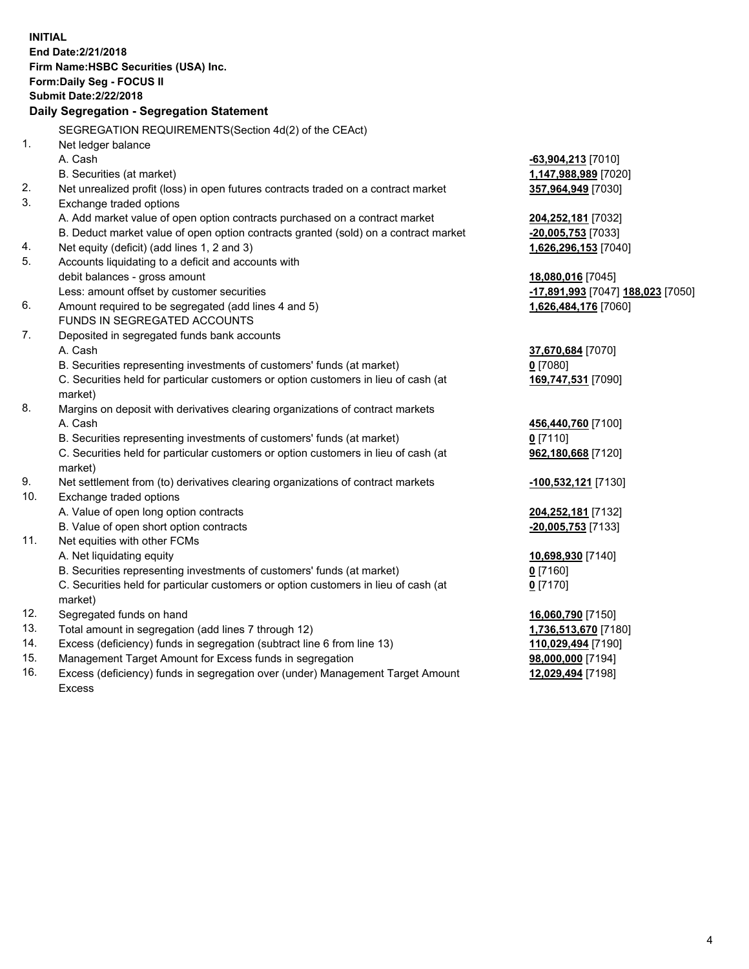**INITIAL End Date:2/21/2018 Firm Name:HSBC Securities (USA) Inc. Form:Daily Seg - FOCUS II Submit Date:2/22/2018 Daily Segregation - Segregation Statement** SEGREGATION REQUIREMENTS(Section 4d(2) of the CEAct) 1. Net ledger balance A. Cash **-63,904,213** [7010] B. Securities (at market) **1,147,988,989** [7020] 2. Net unrealized profit (loss) in open futures contracts traded on a contract market **357,964,949** [7030] 3. Exchange traded options A. Add market value of open option contracts purchased on a contract market **204,252,181** [7032] B. Deduct market value of open option contracts granted (sold) on a contract market **-20,005,753** [7033] 4. Net equity (deficit) (add lines 1, 2 and 3) **1,626,296,153** [7040] 5. Accounts liquidating to a deficit and accounts with debit balances - gross amount **18,080,016** [7045] Less: amount offset by customer securities **-17,891,993** [7047] **188,023** [7050] 6. Amount required to be segregated (add lines 4 and 5) **1,626,484,176** [7060] FUNDS IN SEGREGATED ACCOUNTS 7. Deposited in segregated funds bank accounts A. Cash **37,670,684** [7070] B. Securities representing investments of customers' funds (at market) **0** [7080] C. Securities held for particular customers or option customers in lieu of cash (at market) **169,747,531** [7090] 8. Margins on deposit with derivatives clearing organizations of contract markets A. Cash **456,440,760** [7100] B. Securities representing investments of customers' funds (at market) **0** [7110] C. Securities held for particular customers or option customers in lieu of cash (at market) **962,180,668** [7120] 9. Net settlement from (to) derivatives clearing organizations of contract markets **-100,532,121** [7130] 10. Exchange traded options A. Value of open long option contracts **204,252,181** [7132] B. Value of open short option contracts **-20,005,753** [7133] 11. Net equities with other FCMs A. Net liquidating equity **10,698,930** [7140] B. Securities representing investments of customers' funds (at market) **0** [7160] C. Securities held for particular customers or option customers in lieu of cash (at market) **0** [7170] 12. Segregated funds on hand **16,060,790** [7150] 13. Total amount in segregation (add lines 7 through 12) **1,736,513,670** [7180] 14. Excess (deficiency) funds in segregation (subtract line 6 from line 13) **110,029,494** [7190] 15. Management Target Amount for Excess funds in segregation **98,000,000** [7194]

16. Excess (deficiency) funds in segregation over (under) Management Target Amount Excess

**12,029,494** [7198]